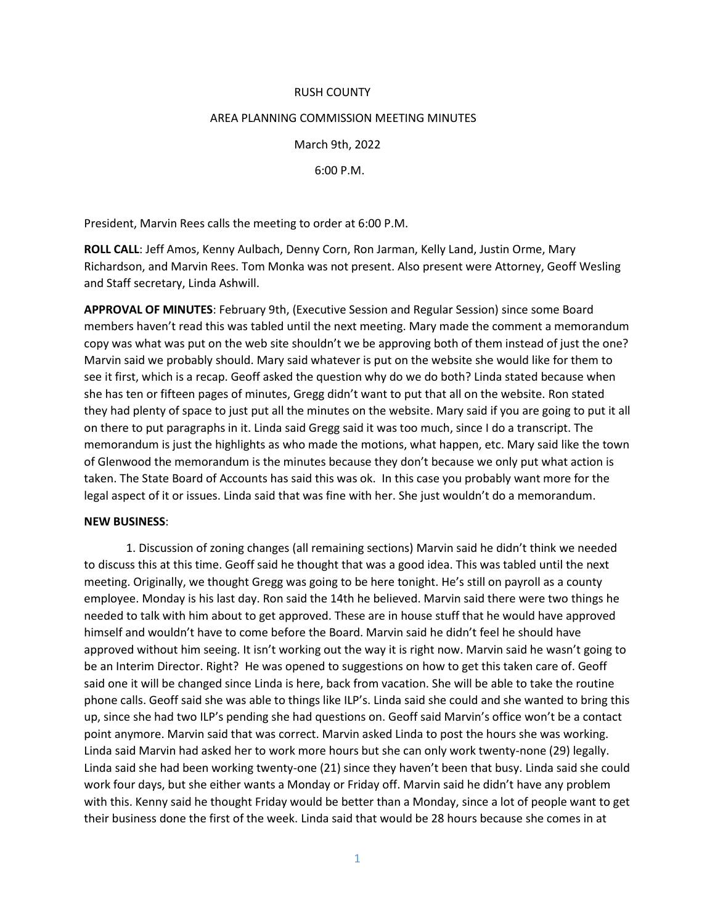## RUSH COUNTY

## AREA PLANNING COMMISSION MEETING MINUTES

March 9th, 2022

6:00 P.M.

President, Marvin Rees calls the meeting to order at 6:00 P.M.

**ROLL CALL**: Jeff Amos, Kenny Aulbach, Denny Corn, Ron Jarman, Kelly Land, Justin Orme, Mary Richardson, and Marvin Rees. Tom Monka was not present. Also present were Attorney, Geoff Wesling and Staff secretary, Linda Ashwill.

**APPROVAL OF MINUTES**: February 9th, (Executive Session and Regular Session) since some Board members haven't read this was tabled until the next meeting. Mary made the comment a memorandum copy was what was put on the web site shouldn't we be approving both of them instead of just the one? Marvin said we probably should. Mary said whatever is put on the website she would like for them to see it first, which is a recap. Geoff asked the question why do we do both? Linda stated because when she has ten or fifteen pages of minutes, Gregg didn't want to put that all on the website. Ron stated they had plenty of space to just put all the minutes on the website. Mary said if you are going to put it all on there to put paragraphs in it. Linda said Gregg said it was too much, since I do a transcript. The memorandum is just the highlights as who made the motions, what happen, etc. Mary said like the town of Glenwood the memorandum is the minutes because they don't because we only put what action is taken. The State Board of Accounts has said this was ok. In this case you probably want more for the legal aspect of it or issues. Linda said that was fine with her. She just wouldn't do a memorandum.

## **NEW BUSINESS**:

1. Discussion of zoning changes (all remaining sections) Marvin said he didn't think we needed to discuss this at this time. Geoff said he thought that was a good idea. This was tabled until the next meeting. Originally, we thought Gregg was going to be here tonight. He's still on payroll as a county employee. Monday is his last day. Ron said the 14th he believed. Marvin said there were two things he needed to talk with him about to get approved. These are in house stuff that he would have approved himself and wouldn't have to come before the Board. Marvin said he didn't feel he should have approved without him seeing. It isn't working out the way it is right now. Marvin said he wasn't going to be an Interim Director. Right? He was opened to suggestions on how to get this taken care of. Geoff said one it will be changed since Linda is here, back from vacation. She will be able to take the routine phone calls. Geoff said she was able to things like ILP's. Linda said she could and she wanted to bring this up, since she had two ILP's pending she had questions on. Geoff said Marvin's office won't be a contact point anymore. Marvin said that was correct. Marvin asked Linda to post the hours she was working. Linda said Marvin had asked her to work more hours but she can only work twenty-none (29) legally. Linda said she had been working twenty-one (21) since they haven't been that busy. Linda said she could work four days, but she either wants a Monday or Friday off. Marvin said he didn't have any problem with this. Kenny said he thought Friday would be better than a Monday, since a lot of people want to get their business done the first of the week. Linda said that would be 28 hours because she comes in at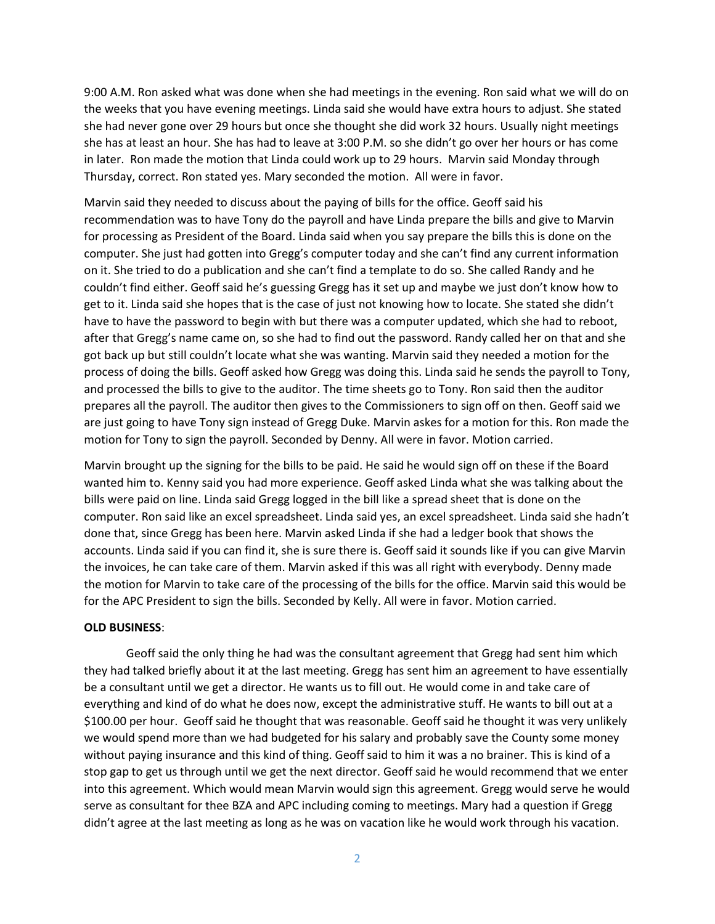9:00 A.M. Ron asked what was done when she had meetings in the evening. Ron said what we will do on the weeks that you have evening meetings. Linda said she would have extra hours to adjust. She stated she had never gone over 29 hours but once she thought she did work 32 hours. Usually night meetings she has at least an hour. She has had to leave at 3:00 P.M. so she didn't go over her hours or has come in later. Ron made the motion that Linda could work up to 29 hours. Marvin said Monday through Thursday, correct. Ron stated yes. Mary seconded the motion. All were in favor.

Marvin said they needed to discuss about the paying of bills for the office. Geoff said his recommendation was to have Tony do the payroll and have Linda prepare the bills and give to Marvin for processing as President of the Board. Linda said when you say prepare the bills this is done on the computer. She just had gotten into Gregg's computer today and she can't find any current information on it. She tried to do a publication and she can't find a template to do so. She called Randy and he couldn't find either. Geoff said he's guessing Gregg has it set up and maybe we just don't know how to get to it. Linda said she hopes that is the case of just not knowing how to locate. She stated she didn't have to have the password to begin with but there was a computer updated, which she had to reboot, after that Gregg's name came on, so she had to find out the password. Randy called her on that and she got back up but still couldn't locate what she was wanting. Marvin said they needed a motion for the process of doing the bills. Geoff asked how Gregg was doing this. Linda said he sends the payroll to Tony, and processed the bills to give to the auditor. The time sheets go to Tony. Ron said then the auditor prepares all the payroll. The auditor then gives to the Commissioners to sign off on then. Geoff said we are just going to have Tony sign instead of Gregg Duke. Marvin askes for a motion for this. Ron made the motion for Tony to sign the payroll. Seconded by Denny. All were in favor. Motion carried.

Marvin brought up the signing for the bills to be paid. He said he would sign off on these if the Board wanted him to. Kenny said you had more experience. Geoff asked Linda what she was talking about the bills were paid on line. Linda said Gregg logged in the bill like a spread sheet that is done on the computer. Ron said like an excel spreadsheet. Linda said yes, an excel spreadsheet. Linda said she hadn't done that, since Gregg has been here. Marvin asked Linda if she had a ledger book that shows the accounts. Linda said if you can find it, she is sure there is. Geoff said it sounds like if you can give Marvin the invoices, he can take care of them. Marvin asked if this was all right with everybody. Denny made the motion for Marvin to take care of the processing of the bills for the office. Marvin said this would be for the APC President to sign the bills. Seconded by Kelly. All were in favor. Motion carried.

## **OLD BUSINESS**:

Geoff said the only thing he had was the consultant agreement that Gregg had sent him which they had talked briefly about it at the last meeting. Gregg has sent him an agreement to have essentially be a consultant until we get a director. He wants us to fill out. He would come in and take care of everything and kind of do what he does now, except the administrative stuff. He wants to bill out at a \$100.00 per hour. Geoff said he thought that was reasonable. Geoff said he thought it was very unlikely we would spend more than we had budgeted for his salary and probably save the County some money without paying insurance and this kind of thing. Geoff said to him it was a no brainer. This is kind of a stop gap to get us through until we get the next director. Geoff said he would recommend that we enter into this agreement. Which would mean Marvin would sign this agreement. Gregg would serve he would serve as consultant for thee BZA and APC including coming to meetings. Mary had a question if Gregg didn't agree at the last meeting as long as he was on vacation like he would work through his vacation.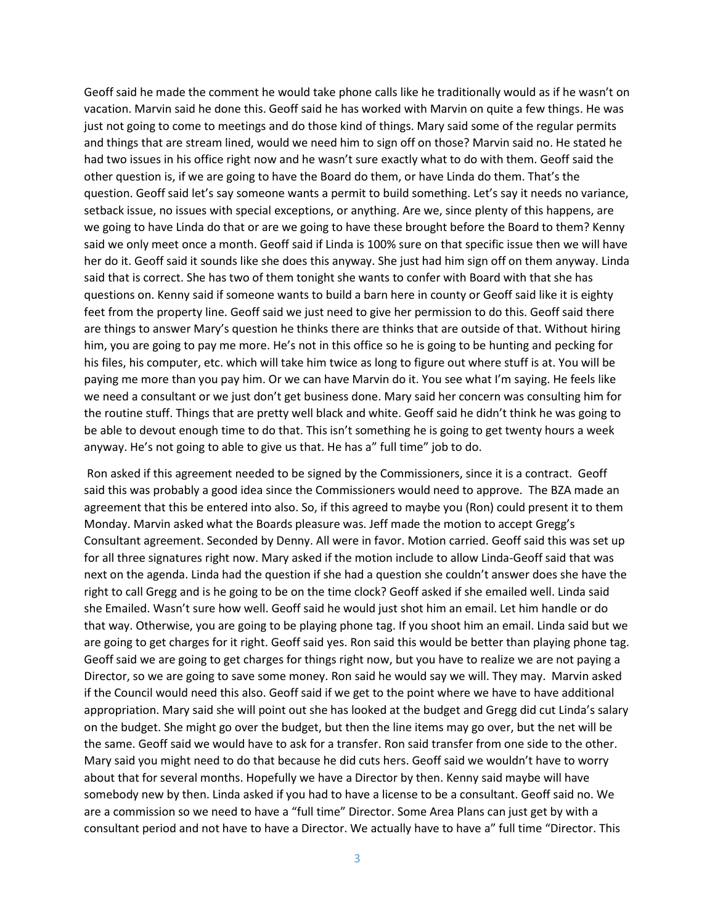Geoff said he made the comment he would take phone calls like he traditionally would as if he wasn't on vacation. Marvin said he done this. Geoff said he has worked with Marvin on quite a few things. He was just not going to come to meetings and do those kind of things. Mary said some of the regular permits and things that are stream lined, would we need him to sign off on those? Marvin said no. He stated he had two issues in his office right now and he wasn't sure exactly what to do with them. Geoff said the other question is, if we are going to have the Board do them, or have Linda do them. That's the question. Geoff said let's say someone wants a permit to build something. Let's say it needs no variance, setback issue, no issues with special exceptions, or anything. Are we, since plenty of this happens, are we going to have Linda do that or are we going to have these brought before the Board to them? Kenny said we only meet once a month. Geoff said if Linda is 100% sure on that specific issue then we will have her do it. Geoff said it sounds like she does this anyway. She just had him sign off on them anyway. Linda said that is correct. She has two of them tonight she wants to confer with Board with that she has questions on. Kenny said if someone wants to build a barn here in county or Geoff said like it is eighty feet from the property line. Geoff said we just need to give her permission to do this. Geoff said there are things to answer Mary's question he thinks there are thinks that are outside of that. Without hiring him, you are going to pay me more. He's not in this office so he is going to be hunting and pecking for his files, his computer, etc. which will take him twice as long to figure out where stuff is at. You will be paying me more than you pay him. Or we can have Marvin do it. You see what I'm saying. He feels like we need a consultant or we just don't get business done. Mary said her concern was consulting him for the routine stuff. Things that are pretty well black and white. Geoff said he didn't think he was going to be able to devout enough time to do that. This isn't something he is going to get twenty hours a week anyway. He's not going to able to give us that. He has a" full time" job to do.

Ron asked if this agreement needed to be signed by the Commissioners, since it is a contract. Geoff said this was probably a good idea since the Commissioners would need to approve. The BZA made an agreement that this be entered into also. So, if this agreed to maybe you (Ron) could present it to them Monday. Marvin asked what the Boards pleasure was. Jeff made the motion to accept Gregg's Consultant agreement. Seconded by Denny. All were in favor. Motion carried. Geoff said this was set up for all three signatures right now. Mary asked if the motion include to allow Linda-Geoff said that was next on the agenda. Linda had the question if she had a question she couldn't answer does she have the right to call Gregg and is he going to be on the time clock? Geoff asked if she emailed well. Linda said she Emailed. Wasn't sure how well. Geoff said he would just shot him an email. Let him handle or do that way. Otherwise, you are going to be playing phone tag. If you shoot him an email. Linda said but we are going to get charges for it right. Geoff said yes. Ron said this would be better than playing phone tag. Geoff said we are going to get charges for things right now, but you have to realize we are not paying a Director, so we are going to save some money. Ron said he would say we will. They may. Marvin asked if the Council would need this also. Geoff said if we get to the point where we have to have additional appropriation. Mary said she will point out she has looked at the budget and Gregg did cut Linda's salary on the budget. She might go over the budget, but then the line items may go over, but the net will be the same. Geoff said we would have to ask for a transfer. Ron said transfer from one side to the other. Mary said you might need to do that because he did cuts hers. Geoff said we wouldn't have to worry about that for several months. Hopefully we have a Director by then. Kenny said maybe will have somebody new by then. Linda asked if you had to have a license to be a consultant. Geoff said no. We are a commission so we need to have a "full time" Director. Some Area Plans can just get by with a consultant period and not have to have a Director. We actually have to have a" full time "Director. This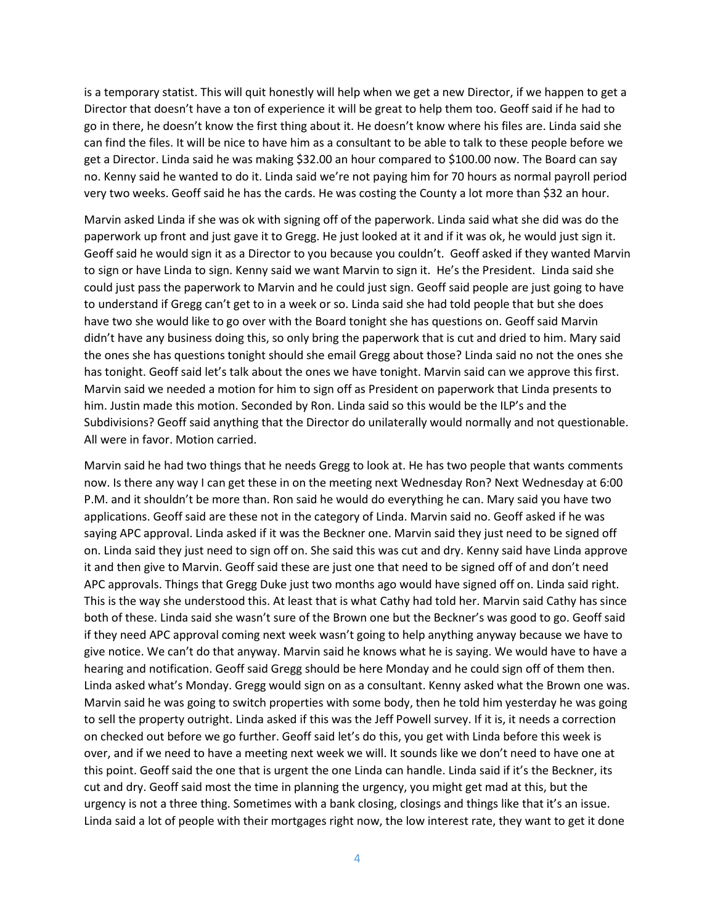is a temporary statist. This will quit honestly will help when we get a new Director, if we happen to get a Director that doesn't have a ton of experience it will be great to help them too. Geoff said if he had to go in there, he doesn't know the first thing about it. He doesn't know where his files are. Linda said she can find the files. It will be nice to have him as a consultant to be able to talk to these people before we get a Director. Linda said he was making \$32.00 an hour compared to \$100.00 now. The Board can say no. Kenny said he wanted to do it. Linda said we're not paying him for 70 hours as normal payroll period very two weeks. Geoff said he has the cards. He was costing the County a lot more than \$32 an hour.

Marvin asked Linda if she was ok with signing off of the paperwork. Linda said what she did was do the paperwork up front and just gave it to Gregg. He just looked at it and if it was ok, he would just sign it. Geoff said he would sign it as a Director to you because you couldn't. Geoff asked if they wanted Marvin to sign or have Linda to sign. Kenny said we want Marvin to sign it. He's the President. Linda said she could just pass the paperwork to Marvin and he could just sign. Geoff said people are just going to have to understand if Gregg can't get to in a week or so. Linda said she had told people that but she does have two she would like to go over with the Board tonight she has questions on. Geoff said Marvin didn't have any business doing this, so only bring the paperwork that is cut and dried to him. Mary said the ones she has questions tonight should she email Gregg about those? Linda said no not the ones she has tonight. Geoff said let's talk about the ones we have tonight. Marvin said can we approve this first. Marvin said we needed a motion for him to sign off as President on paperwork that Linda presents to him. Justin made this motion. Seconded by Ron. Linda said so this would be the ILP's and the Subdivisions? Geoff said anything that the Director do unilaterally would normally and not questionable. All were in favor. Motion carried.

Marvin said he had two things that he needs Gregg to look at. He has two people that wants comments now. Is there any way I can get these in on the meeting next Wednesday Ron? Next Wednesday at 6:00 P.M. and it shouldn't be more than. Ron said he would do everything he can. Mary said you have two applications. Geoff said are these not in the category of Linda. Marvin said no. Geoff asked if he was saying APC approval. Linda asked if it was the Beckner one. Marvin said they just need to be signed off on. Linda said they just need to sign off on. She said this was cut and dry. Kenny said have Linda approve it and then give to Marvin. Geoff said these are just one that need to be signed off of and don't need APC approvals. Things that Gregg Duke just two months ago would have signed off on. Linda said right. This is the way she understood this. At least that is what Cathy had told her. Marvin said Cathy has since both of these. Linda said she wasn't sure of the Brown one but the Beckner's was good to go. Geoff said if they need APC approval coming next week wasn't going to help anything anyway because we have to give notice. We can't do that anyway. Marvin said he knows what he is saying. We would have to have a hearing and notification. Geoff said Gregg should be here Monday and he could sign off of them then. Linda asked what's Monday. Gregg would sign on as a consultant. Kenny asked what the Brown one was. Marvin said he was going to switch properties with some body, then he told him yesterday he was going to sell the property outright. Linda asked if this was the Jeff Powell survey. If it is, it needs a correction on checked out before we go further. Geoff said let's do this, you get with Linda before this week is over, and if we need to have a meeting next week we will. It sounds like we don't need to have one at this point. Geoff said the one that is urgent the one Linda can handle. Linda said if it's the Beckner, its cut and dry. Geoff said most the time in planning the urgency, you might get mad at this, but the urgency is not a three thing. Sometimes with a bank closing, closings and things like that it's an issue. Linda said a lot of people with their mortgages right now, the low interest rate, they want to get it done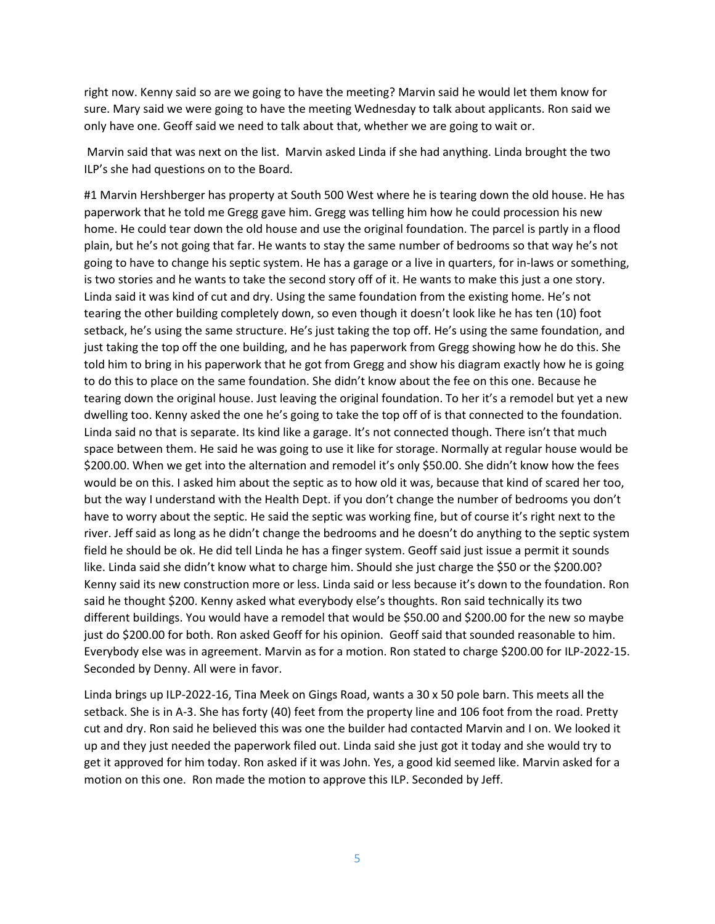right now. Kenny said so are we going to have the meeting? Marvin said he would let them know for sure. Mary said we were going to have the meeting Wednesday to talk about applicants. Ron said we only have one. Geoff said we need to talk about that, whether we are going to wait or.

Marvin said that was next on the list. Marvin asked Linda if she had anything. Linda brought the two ILP's she had questions on to the Board.

#1 Marvin Hershberger has property at South 500 West where he is tearing down the old house. He has paperwork that he told me Gregg gave him. Gregg was telling him how he could procession his new home. He could tear down the old house and use the original foundation. The parcel is partly in a flood plain, but he's not going that far. He wants to stay the same number of bedrooms so that way he's not going to have to change his septic system. He has a garage or a live in quarters, for in-laws or something, is two stories and he wants to take the second story off of it. He wants to make this just a one story. Linda said it was kind of cut and dry. Using the same foundation from the existing home. He's not tearing the other building completely down, so even though it doesn't look like he has ten (10) foot setback, he's using the same structure. He's just taking the top off. He's using the same foundation, and just taking the top off the one building, and he has paperwork from Gregg showing how he do this. She told him to bring in his paperwork that he got from Gregg and show his diagram exactly how he is going to do this to place on the same foundation. She didn't know about the fee on this one. Because he tearing down the original house. Just leaving the original foundation. To her it's a remodel but yet a new dwelling too. Kenny asked the one he's going to take the top off of is that connected to the foundation. Linda said no that is separate. Its kind like a garage. It's not connected though. There isn't that much space between them. He said he was going to use it like for storage. Normally at regular house would be \$200.00. When we get into the alternation and remodel it's only \$50.00. She didn't know how the fees would be on this. I asked him about the septic as to how old it was, because that kind of scared her too, but the way I understand with the Health Dept. if you don't change the number of bedrooms you don't have to worry about the septic. He said the septic was working fine, but of course it's right next to the river. Jeff said as long as he didn't change the bedrooms and he doesn't do anything to the septic system field he should be ok. He did tell Linda he has a finger system. Geoff said just issue a permit it sounds like. Linda said she didn't know what to charge him. Should she just charge the \$50 or the \$200.00? Kenny said its new construction more or less. Linda said or less because it's down to the foundation. Ron said he thought \$200. Kenny asked what everybody else's thoughts. Ron said technically its two different buildings. You would have a remodel that would be \$50.00 and \$200.00 for the new so maybe just do \$200.00 for both. Ron asked Geoff for his opinion. Geoff said that sounded reasonable to him. Everybody else was in agreement. Marvin as for a motion. Ron stated to charge \$200.00 for ILP-2022-15. Seconded by Denny. All were in favor.

Linda brings up ILP-2022-16, Tina Meek on Gings Road, wants a 30 x 50 pole barn. This meets all the setback. She is in A-3. She has forty (40) feet from the property line and 106 foot from the road. Pretty cut and dry. Ron said he believed this was one the builder had contacted Marvin and I on. We looked it up and they just needed the paperwork filed out. Linda said she just got it today and she would try to get it approved for him today. Ron asked if it was John. Yes, a good kid seemed like. Marvin asked for a motion on this one. Ron made the motion to approve this ILP. Seconded by Jeff.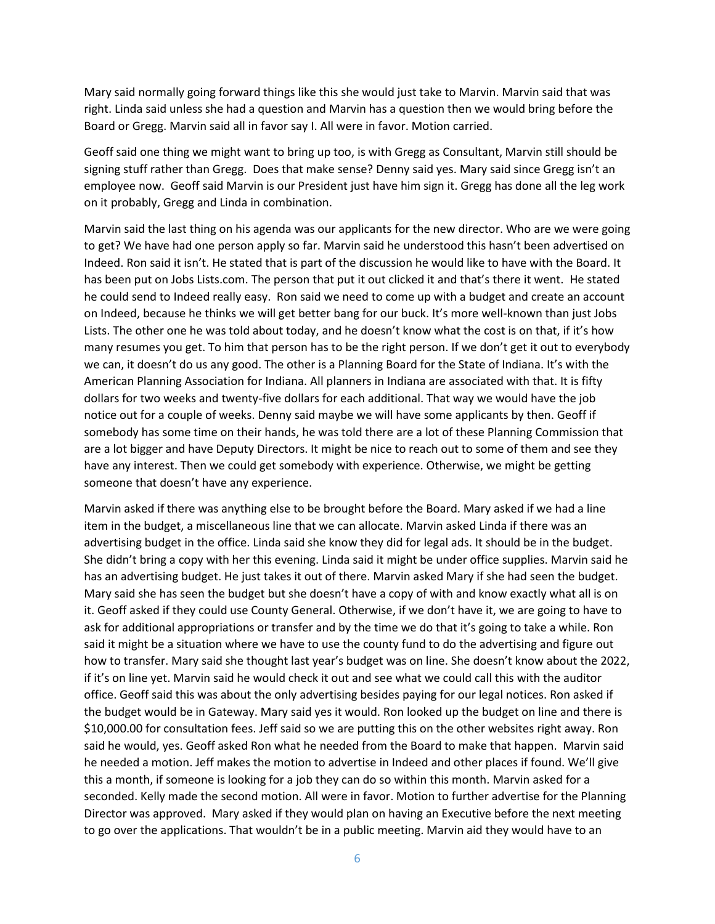Mary said normally going forward things like this she would just take to Marvin. Marvin said that was right. Linda said unless she had a question and Marvin has a question then we would bring before the Board or Gregg. Marvin said all in favor say I. All were in favor. Motion carried.

Geoff said one thing we might want to bring up too, is with Gregg as Consultant, Marvin still should be signing stuff rather than Gregg. Does that make sense? Denny said yes. Mary said since Gregg isn't an employee now. Geoff said Marvin is our President just have him sign it. Gregg has done all the leg work on it probably, Gregg and Linda in combination.

Marvin said the last thing on his agenda was our applicants for the new director. Who are we were going to get? We have had one person apply so far. Marvin said he understood this hasn't been advertised on Indeed. Ron said it isn't. He stated that is part of the discussion he would like to have with the Board. It has been put on Jobs Lists.com. The person that put it out clicked it and that's there it went. He stated he could send to Indeed really easy. Ron said we need to come up with a budget and create an account on Indeed, because he thinks we will get better bang for our buck. It's more well-known than just Jobs Lists. The other one he was told about today, and he doesn't know what the cost is on that, if it's how many resumes you get. To him that person has to be the right person. If we don't get it out to everybody we can, it doesn't do us any good. The other is a Planning Board for the State of Indiana. It's with the American Planning Association for Indiana. All planners in Indiana are associated with that. It is fifty dollars for two weeks and twenty-five dollars for each additional. That way we would have the job notice out for a couple of weeks. Denny said maybe we will have some applicants by then. Geoff if somebody has some time on their hands, he was told there are a lot of these Planning Commission that are a lot bigger and have Deputy Directors. It might be nice to reach out to some of them and see they have any interest. Then we could get somebody with experience. Otherwise, we might be getting someone that doesn't have any experience.

Marvin asked if there was anything else to be brought before the Board. Mary asked if we had a line item in the budget, a miscellaneous line that we can allocate. Marvin asked Linda if there was an advertising budget in the office. Linda said she know they did for legal ads. It should be in the budget. She didn't bring a copy with her this evening. Linda said it might be under office supplies. Marvin said he has an advertising budget. He just takes it out of there. Marvin asked Mary if she had seen the budget. Mary said she has seen the budget but she doesn't have a copy of with and know exactly what all is on it. Geoff asked if they could use County General. Otherwise, if we don't have it, we are going to have to ask for additional appropriations or transfer and by the time we do that it's going to take a while. Ron said it might be a situation where we have to use the county fund to do the advertising and figure out how to transfer. Mary said she thought last year's budget was on line. She doesn't know about the 2022, if it's on line yet. Marvin said he would check it out and see what we could call this with the auditor office. Geoff said this was about the only advertising besides paying for our legal notices. Ron asked if the budget would be in Gateway. Mary said yes it would. Ron looked up the budget on line and there is \$10,000.00 for consultation fees. Jeff said so we are putting this on the other websites right away. Ron said he would, yes. Geoff asked Ron what he needed from the Board to make that happen. Marvin said he needed a motion. Jeff makes the motion to advertise in Indeed and other places if found. We'll give this a month, if someone is looking for a job they can do so within this month. Marvin asked for a seconded. Kelly made the second motion. All were in favor. Motion to further advertise for the Planning Director was approved. Mary asked if they would plan on having an Executive before the next meeting to go over the applications. That wouldn't be in a public meeting. Marvin aid they would have to an